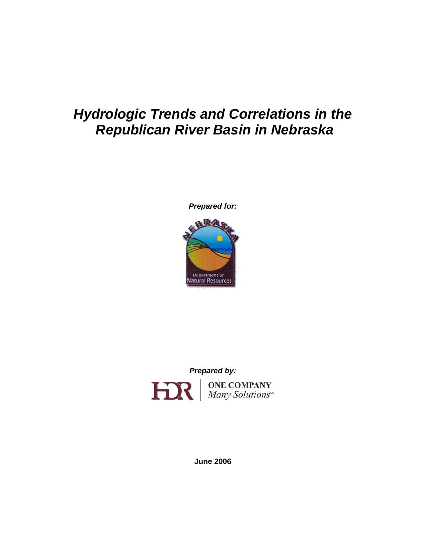# *Hydrologic Trends and Correlations in the Republican River Basin in Nebraska*

*Prepared for:* 



*Prepared by:* 



**June 2006**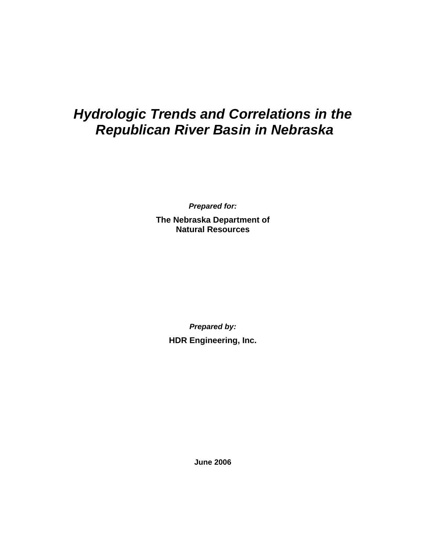# *Hydrologic Trends and Correlations in the Republican River Basin in Nebraska*

*Prepared for:* 

**The Nebraska Department of Natural Resources** 

> *Prepared by:*  **HDR Engineering, Inc.**

> > **June 2006**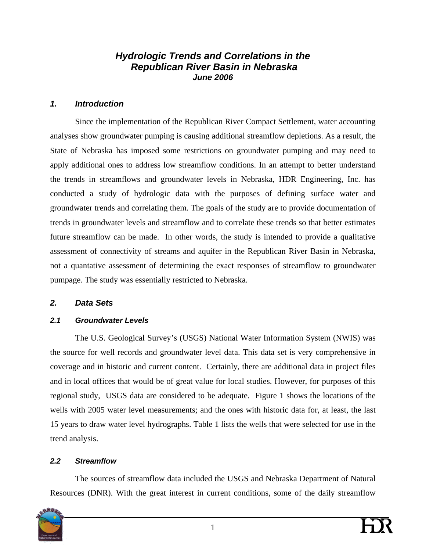## *Hydrologic Trends and Correlations in the Republican River Basin in Nebraska June 2006*

## *1. Introduction*

Since the implementation of the Republican River Compact Settlement, water accounting analyses show groundwater pumping is causing additional streamflow depletions. As a result, the State of Nebraska has imposed some restrictions on groundwater pumping and may need to apply additional ones to address low streamflow conditions. In an attempt to better understand the trends in streamflows and groundwater levels in Nebraska, HDR Engineering, Inc. has conducted a study of hydrologic data with the purposes of defining surface water and groundwater trends and correlating them. The goals of the study are to provide documentation of trends in groundwater levels and streamflow and to correlate these trends so that better estimates future streamflow can be made. In other words, the study is intended to provide a qualitative assessment of connectivity of streams and aquifer in the Republican River Basin in Nebraska, not a quantative assessment of determining the exact responses of streamflow to groundwater pumpage. The study was essentially restricted to Nebraska.

## *2. Data Sets*

## *2.1 Groundwater Levels*

The U.S. Geological Survey's (USGS) National Water Information System (NWIS) was the source for well records and groundwater level data. This data set is very comprehensive in coverage and in historic and current content. Certainly, there are additional data in project files and in local offices that would be of great value for local studies. However, for purposes of this regional study, USGS data are considered to be adequate. Figure 1 shows the locations of the wells with 2005 water level measurements; and the ones with historic data for, at least, the last 15 years to draw water level hydrographs. Table 1 lists the wells that were selected for use in the trend analysis.

## *2.2 Streamflow*

The sources of streamflow data included the USGS and Nebraska Department of Natural Resources (DNR). With the great interest in current conditions, some of the daily streamflow

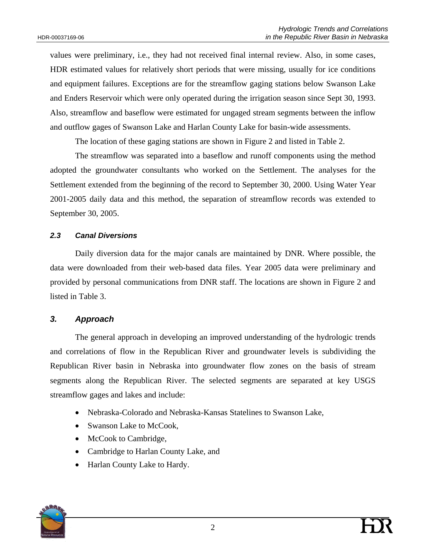values were preliminary, i.e., they had not received final internal review. Also, in some cases, HDR estimated values for relatively short periods that were missing, usually for ice conditions and equipment failures. Exceptions are for the streamflow gaging stations below Swanson Lake and Enders Reservoir which were only operated during the irrigation season since Sept 30, 1993. Also, streamflow and baseflow were estimated for ungaged stream segments between the inflow and outflow gages of Swanson Lake and Harlan County Lake for basin-wide assessments.

The location of these gaging stations are shown in Figure 2 and listed in Table 2.

The streamflow was separated into a baseflow and runoff components using the method adopted the groundwater consultants who worked on the Settlement. The analyses for the Settlement extended from the beginning of the record to September 30, 2000. Using Water Year 2001-2005 daily data and this method, the separation of streamflow records was extended to September 30, 2005.

## *2.3 Canal Diversions*

Daily diversion data for the major canals are maintained by DNR. Where possible, the data were downloaded from their web-based data files. Year 2005 data were preliminary and provided by personal communications from DNR staff. The locations are shown in Figure 2 and listed in Table 3.

## *3. Approach*

The general approach in developing an improved understanding of the hydrologic trends and correlations of flow in the Republican River and groundwater levels is subdividing the Republican River basin in Nebraska into groundwater flow zones on the basis of stream segments along the Republican River. The selected segments are separated at key USGS streamflow gages and lakes and include:

- Nebraska-Colorado and Nebraska-Kansas Statelines to Swanson Lake,
- Swanson Lake to McCook.
- McCook to Cambridge,
- Cambridge to Harlan County Lake, and
- Harlan County Lake to Hardy.

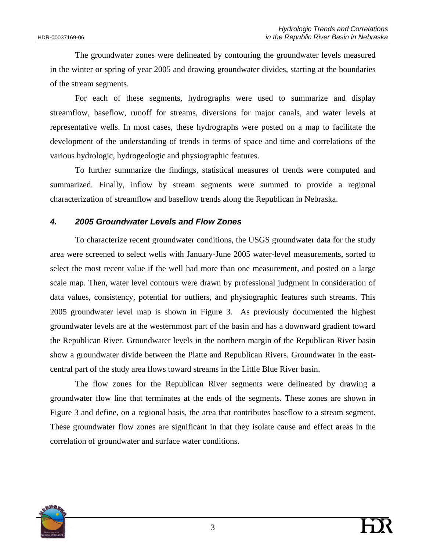The groundwater zones were delineated by contouring the groundwater levels measured in the winter or spring of year 2005 and drawing groundwater divides, starting at the boundaries of the stream segments.

For each of these segments, hydrographs were used to summarize and display streamflow, baseflow, runoff for streams, diversions for major canals, and water levels at representative wells. In most cases, these hydrographs were posted on a map to facilitate the development of the understanding of trends in terms of space and time and correlations of the various hydrologic, hydrogeologic and physiographic features.

To further summarize the findings, statistical measures of trends were computed and summarized. Finally, inflow by stream segments were summed to provide a regional characterization of streamflow and baseflow trends along the Republican in Nebraska.

## *4. 2005 Groundwater Levels and Flow Zones*

To characterize recent groundwater conditions, the USGS groundwater data for the study area were screened to select wells with January-June 2005 water-level measurements, sorted to select the most recent value if the well had more than one measurement, and posted on a large scale map. Then, water level contours were drawn by professional judgment in consideration of data values, consistency, potential for outliers, and physiographic features such streams. This 2005 groundwater level map is shown in Figure 3. As previously documented the highest groundwater levels are at the westernmost part of the basin and has a downward gradient toward the Republican River. Groundwater levels in the northern margin of the Republican River basin show a groundwater divide between the Platte and Republican Rivers. Groundwater in the eastcentral part of the study area flows toward streams in the Little Blue River basin.

The flow zones for the Republican River segments were delineated by drawing a groundwater flow line that terminates at the ends of the segments. These zones are shown in Figure 3 and define, on a regional basis, the area that contributes baseflow to a stream segment. These groundwater flow zones are significant in that they isolate cause and effect areas in the correlation of groundwater and surface water conditions.

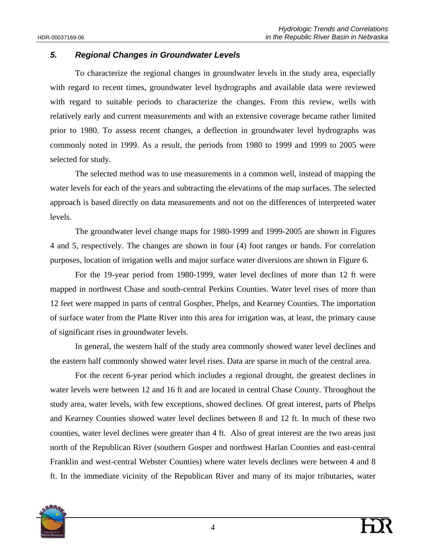## *5. Regional Changes in Groundwater Levels*

To characterize the regional changes in groundwater levels in the study area, especially with regard to recent times, groundwater level hydrographs and available data were reviewed with regard to suitable periods to characterize the changes. From this review, wells with relatively early and current measurements and with an extensive coverage became rather limited prior to 1980. To assess recent changes, a deflection in groundwater level hydrographs was commonly noted in 1999. As a result, the periods from 1980 to 1999 and 1999 to 2005 were selected for study.

The selected method was to use measurements in a common well, instead of mapping the water levels for each of the years and subtracting the elevations of the map surfaces. The selected approach is based directly on data measurements and not on the differences of interpreted water levels.

The groundwater level change maps for 1980-1999 and 1999-2005 are shown in Figures 4 and 5, respectively. The changes are shown in four (4) foot ranges or bands. For correlation purposes, location of irrigation wells and major surface water diversions are shown in Figure 6.

For the 19-year period from 1980-1999, water level declines of more than 12 ft were mapped in northwest Chase and south-central Perkins Counties. Water level rises of more than 12 feet were mapped in parts of central Gospher, Phelps, and Kearney Counties. The importation of surface water from the Platte River into this area for irrigation was, at least, the primary cause of significant rises in groundwater levels.

In general, the western half of the study area commonly showed water level declines and the eastern half commonly showed water level rises. Data are sparse in much of the central area.

For the recent 6-year period which includes a regional drought, the greatest declines in water levels were between 12 and 16 ft and are located in central Chase County. Throughout the study area, water levels, with few exceptions, showed declines. Of great interest, parts of Phelps and Kearney Counties showed water level declines between 8 and 12 ft. In much of these two counties, water level declines were greater than 4 ft. Also of great interest are the two areas just north of the Republican River (southern Gosper and northwest Harlan Counties and east-central Franklin and west-central Webster Counties) where water levels declines were between 4 and 8 ft. In the immediate vicinity of the Republican River and many of its major tributaries, water

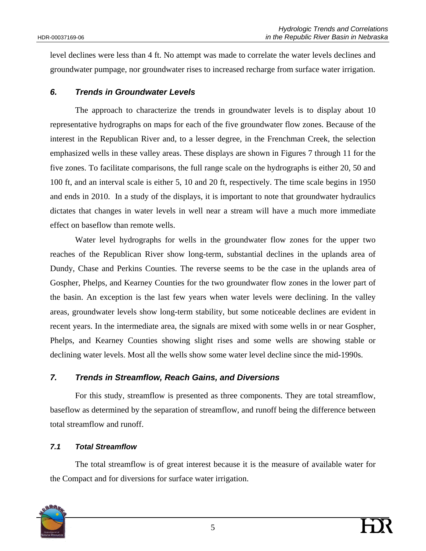level declines were less than 4 ft. No attempt was made to correlate the water levels declines and groundwater pumpage, nor groundwater rises to increased recharge from surface water irrigation.

## *6. Trends in Groundwater Levels*

The approach to characterize the trends in groundwater levels is to display about 10 representative hydrographs on maps for each of the five groundwater flow zones. Because of the interest in the Republican River and, to a lesser degree, in the Frenchman Creek, the selection emphasized wells in these valley areas. These displays are shown in Figures 7 through 11 for the five zones. To facilitate comparisons, the full range scale on the hydrographs is either 20, 50 and 100 ft, and an interval scale is either 5, 10 and 20 ft, respectively. The time scale begins in 1950 and ends in 2010. In a study of the displays, it is important to note that groundwater hydraulics dictates that changes in water levels in well near a stream will have a much more immediate effect on baseflow than remote wells.

Water level hydrographs for wells in the groundwater flow zones for the upper two reaches of the Republican River show long-term, substantial declines in the uplands area of Dundy, Chase and Perkins Counties. The reverse seems to be the case in the uplands area of Gospher, Phelps, and Kearney Counties for the two groundwater flow zones in the lower part of the basin. An exception is the last few years when water levels were declining. In the valley areas, groundwater levels show long-term stability, but some noticeable declines are evident in recent years. In the intermediate area, the signals are mixed with some wells in or near Gospher, Phelps, and Kearney Counties showing slight rises and some wells are showing stable or declining water levels. Most all the wells show some water level decline since the mid-1990s.

## *7. Trends in Streamflow, Reach Gains, and Diversions*

For this study, streamflow is presented as three components. They are total streamflow, baseflow as determined by the separation of streamflow, and runoff being the difference between total streamflow and runoff.

#### *7.1 Total Streamflow*

The total streamflow is of great interest because it is the measure of available water for the Compact and for diversions for surface water irrigation.

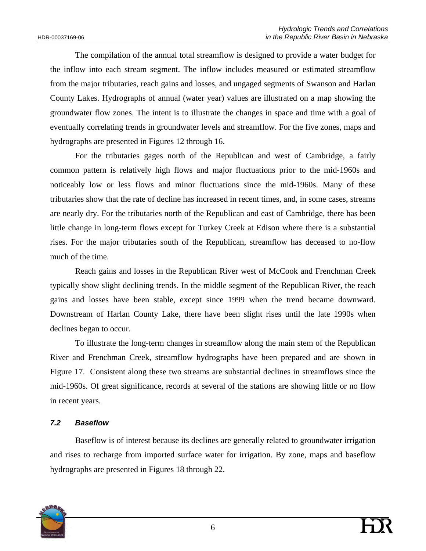The compilation of the annual total streamflow is designed to provide a water budget for the inflow into each stream segment. The inflow includes measured or estimated streamflow from the major tributaries, reach gains and losses, and ungaged segments of Swanson and Harlan County Lakes. Hydrographs of annual (water year) values are illustrated on a map showing the groundwater flow zones. The intent is to illustrate the changes in space and time with a goal of eventually correlating trends in groundwater levels and streamflow. For the five zones, maps and hydrographs are presented in Figures 12 through 16.

For the tributaries gages north of the Republican and west of Cambridge, a fairly common pattern is relatively high flows and major fluctuations prior to the mid-1960s and noticeably low or less flows and minor fluctuations since the mid-1960s. Many of these tributaries show that the rate of decline has increased in recent times, and, in some cases, streams are nearly dry. For the tributaries north of the Republican and east of Cambridge, there has been little change in long-term flows except for Turkey Creek at Edison where there is a substantial rises. For the major tributaries south of the Republican, streamflow has deceased to no-flow much of the time.

Reach gains and losses in the Republican River west of McCook and Frenchman Creek typically show slight declining trends. In the middle segment of the Republican River, the reach gains and losses have been stable, except since 1999 when the trend became downward. Downstream of Harlan County Lake, there have been slight rises until the late 1990s when declines began to occur.

To illustrate the long-term changes in streamflow along the main stem of the Republican River and Frenchman Creek, streamflow hydrographs have been prepared and are shown in Figure 17. Consistent along these two streams are substantial declines in streamflows since the mid-1960s. Of great significance, records at several of the stations are showing little or no flow in recent years.

#### *7.2 Baseflow*

Baseflow is of interest because its declines are generally related to groundwater irrigation and rises to recharge from imported surface water for irrigation. By zone, maps and baseflow hydrographs are presented in Figures 18 through 22.

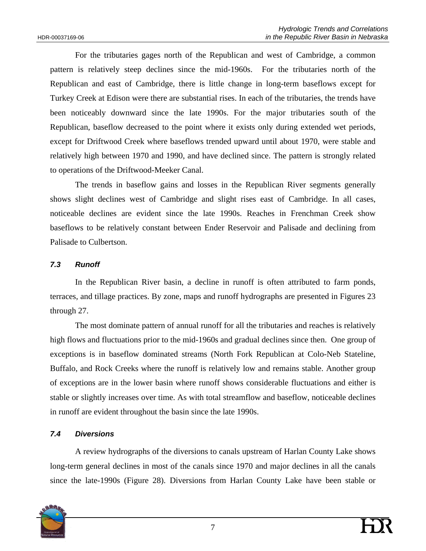For the tributaries gages north of the Republican and west of Cambridge, a common pattern is relatively steep declines since the mid-1960s. For the tributaries north of the Republican and east of Cambridge, there is little change in long-term baseflows except for Turkey Creek at Edison were there are substantial rises. In each of the tributaries, the trends have been noticeably downward since the late 1990s. For the major tributaries south of the Republican, baseflow decreased to the point where it exists only during extended wet periods, except for Driftwood Creek where baseflows trended upward until about 1970, were stable and relatively high between 1970 and 1990, and have declined since. The pattern is strongly related to operations of the Driftwood-Meeker Canal.

The trends in baseflow gains and losses in the Republican River segments generally shows slight declines west of Cambridge and slight rises east of Cambridge. In all cases, noticeable declines are evident since the late 1990s. Reaches in Frenchman Creek show baseflows to be relatively constant between Ender Reservoir and Palisade and declining from Palisade to Culbertson.

## *7.3 Runoff*

In the Republican River basin, a decline in runoff is often attributed to farm ponds, terraces, and tillage practices. By zone, maps and runoff hydrographs are presented in Figures 23 through 27.

The most dominate pattern of annual runoff for all the tributaries and reaches is relatively high flows and fluctuations prior to the mid-1960s and gradual declines since then. One group of exceptions is in baseflow dominated streams (North Fork Republican at Colo-Neb Stateline, Buffalo, and Rock Creeks where the runoff is relatively low and remains stable. Another group of exceptions are in the lower basin where runoff shows considerable fluctuations and either is stable or slightly increases over time. As with total streamflow and baseflow, noticeable declines in runoff are evident throughout the basin since the late 1990s.

## *7.4 Diversions*

A review hydrographs of the diversions to canals upstream of Harlan County Lake shows long-term general declines in most of the canals since 1970 and major declines in all the canals since the late-1990s (Figure 28). Diversions from Harlan County Lake have been stable or

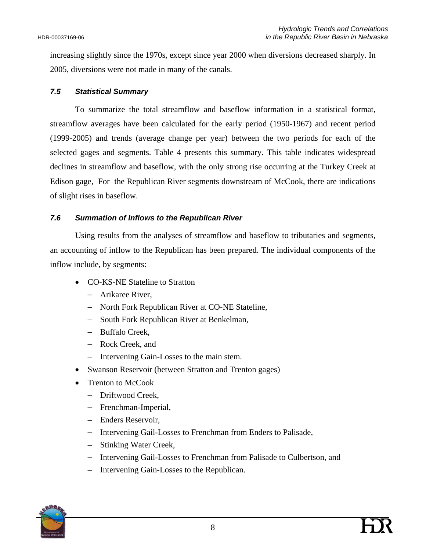increasing slightly since the 1970s, except since year 2000 when diversions decreased sharply. In 2005, diversions were not made in many of the canals.

## *7.5 Statistical Summary*

To summarize the total streamflow and baseflow information in a statistical format, streamflow averages have been calculated for the early period (1950-1967) and recent period (1999-2005) and trends (average change per year) between the two periods for each of the selected gages and segments. Table 4 presents this summary. This table indicates widespread declines in streamflow and baseflow, with the only strong rise occurring at the Turkey Creek at Edison gage, For the Republican River segments downstream of McCook, there are indications of slight rises in baseflow.

## *7.6 Summation of Inflows to the Republican River*

Using results from the analyses of streamflow and baseflow to tributaries and segments, an accounting of inflow to the Republican has been prepared. The individual components of the inflow include, by segments:

- CO-KS-NE Stateline to Stratton
	- Arikaree River,
	- North Fork Republican River at CO-NE Stateline,
	- South Fork Republican River at Benkelman,
	- Buffalo Creek,
	- Rock Creek, and
	- Intervening Gain-Losses to the main stem.
- Swanson Reservoir (between Stratton and Trenton gages)
- Trenton to McCook
	- Driftwood Creek,
	- Frenchman-Imperial,
	- Enders Reservoir,
	- Intervening Gail-Losses to Frenchman from Enders to Palisade,
	- Stinking Water Creek,
	- Intervening Gail-Losses to Frenchman from Palisade to Culbertson, and
	- Intervening Gain-Losses to the Republican.

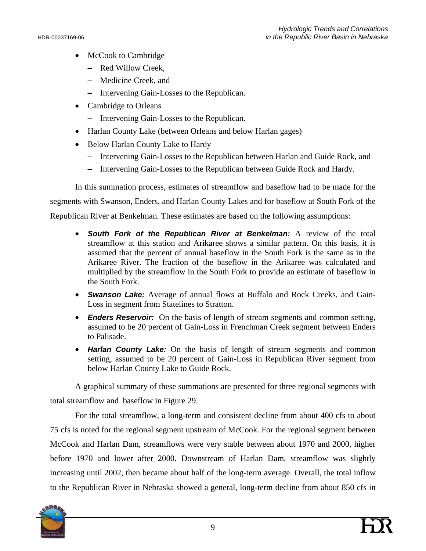- McCook to Cambridge
	- Red Willow Creek,
	- Medicine Creek, and
	- Intervening Gain-Losses to the Republican.
- Cambridge to Orleans
	- Intervening Gain-Losses to the Republican.
- Harlan County Lake (between Orleans and below Harlan gages)
- Below Harlan County Lake to Hardy
	- Intervening Gain-Losses to the Republican between Harlan and Guide Rock, and
	- Intervening Gain-Losses to the Republican between Guide Rock and Hardy.

In this summation process, estimates of streamflow and baseflow had to be made for the segments with Swanson, Enders, and Harlan County Lakes and for baseflow at South Fork of the Republican River at Benkelman. These estimates are based on the following assumptions:

- *South Fork of the Republican River at Benkelman:* A review of the total streamflow at this station and Arikaree shows a similar pattern. On this basis, it is assumed that the percent of annual baseflow in the South Fork is the same as in the Arikaree River. The fraction of the baseflow in the Arikaree was calculated and multiplied by the streamflow in the South Fork to provide an estimate of baseflow in the South Fork.
- *Swanson Lake:* Average of annual flows at Buffalo and Rock Creeks, and Gain-Loss in segment from Statelines to Stratton.
- *Enders Reservoir:* On the basis of length of stream segments and common setting, assumed to be 20 percent of Gain-Loss in Frenchman Creek segment between Enders to Palisade.
- *Harlan County Lake:* On the basis of length of stream segments and common setting, assumed to be 20 percent of Gain-Loss in Republican River segment from below Harlan County Lake to Guide Rock.

A graphical summary of these summations are presented for three regional segments with total streamflow and baseflow in Figure 29.

For the total streamflow, a long-term and consistent decline from about 400 cfs to about 75 cfs is noted for the regional segment upstream of McCook. For the regional segment between McCook and Harlan Dam, streamflows were very stable between about 1970 and 2000, higher before 1970 and lower after 2000. Downstream of Harlan Dam, streamflow was slightly increasing until 2002, then became about half of the long-term average. Overall, the total inflow to the Republican River in Nebraska showed a general, long-term decline from about 850 cfs in

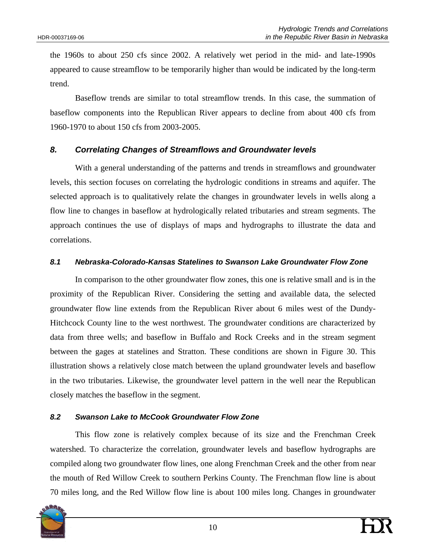the 1960s to about 250 cfs since 2002. A relatively wet period in the mid- and late-1990s appeared to cause streamflow to be temporarily higher than would be indicated by the long-term trend.

Baseflow trends are similar to total streamflow trends. In this case, the summation of baseflow components into the Republican River appears to decline from about 400 cfs from 1960-1970 to about 150 cfs from 2003-2005.

## *8. Correlating Changes of Streamflows and Groundwater levels*

With a general understanding of the patterns and trends in streamflows and groundwater levels, this section focuses on correlating the hydrologic conditions in streams and aquifer. The selected approach is to qualitatively relate the changes in groundwater levels in wells along a flow line to changes in baseflow at hydrologically related tributaries and stream segments. The approach continues the use of displays of maps and hydrographs to illustrate the data and correlations.

## *8.1 Nebraska-Colorado-Kansas Statelines to Swanson Lake Groundwater Flow Zone*

In comparison to the other groundwater flow zones, this one is relative small and is in the proximity of the Republican River. Considering the setting and available data, the selected groundwater flow line extends from the Republican River about 6 miles west of the Dundy-Hitchcock County line to the west northwest. The groundwater conditions are characterized by data from three wells; and baseflow in Buffalo and Rock Creeks and in the stream segment between the gages at statelines and Stratton. These conditions are shown in Figure 30. This illustration shows a relatively close match between the upland groundwater levels and baseflow in the two tributaries. Likewise, the groundwater level pattern in the well near the Republican closely matches the baseflow in the segment.

## *8.2 Swanson Lake to McCook Groundwater Flow Zone*

This flow zone is relatively complex because of its size and the Frenchman Creek watershed. To characterize the correlation, groundwater levels and baseflow hydrographs are compiled along two groundwater flow lines, one along Frenchman Creek and the other from near the mouth of Red Willow Creek to southern Perkins County. The Frenchman flow line is about 70 miles long, and the Red Willow flow line is about 100 miles long. Changes in groundwater

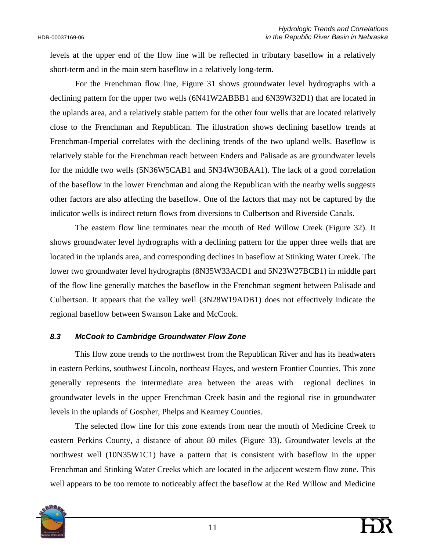levels at the upper end of the flow line will be reflected in tributary baseflow in a relatively short-term and in the main stem baseflow in a relatively long-term.

For the Frenchman flow line, Figure 31 shows groundwater level hydrographs with a declining pattern for the upper two wells (6N41W2ABBB1 and 6N39W32D1) that are located in the uplands area, and a relatively stable pattern for the other four wells that are located relatively close to the Frenchman and Republican. The illustration shows declining baseflow trends at Frenchman-Imperial correlates with the declining trends of the two upland wells. Baseflow is relatively stable for the Frenchman reach between Enders and Palisade as are groundwater levels for the middle two wells (5N36W5CAB1 and 5N34W30BAA1). The lack of a good correlation of the baseflow in the lower Frenchman and along the Republican with the nearby wells suggests other factors are also affecting the baseflow. One of the factors that may not be captured by the indicator wells is indirect return flows from diversions to Culbertson and Riverside Canals.

The eastern flow line terminates near the mouth of Red Willow Creek (Figure 32). It shows groundwater level hydrographs with a declining pattern for the upper three wells that are located in the uplands area, and corresponding declines in baseflow at Stinking Water Creek. The lower two groundwater level hydrographs (8N35W33ACD1 and 5N23W27BCB1) in middle part of the flow line generally matches the baseflow in the Frenchman segment between Palisade and Culbertson. It appears that the valley well (3N28W19ADB1) does not effectively indicate the regional baseflow between Swanson Lake and McCook.

#### *8.3 McCook to Cambridge Groundwater Flow Zone*

This flow zone trends to the northwest from the Republican River and has its headwaters in eastern Perkins, southwest Lincoln, northeast Hayes, and western Frontier Counties. This zone generally represents the intermediate area between the areas with regional declines in groundwater levels in the upper Frenchman Creek basin and the regional rise in groundwater levels in the uplands of Gospher, Phelps and Kearney Counties.

The selected flow line for this zone extends from near the mouth of Medicine Creek to eastern Perkins County, a distance of about 80 miles (Figure 33). Groundwater levels at the northwest well (10N35W1C1) have a pattern that is consistent with baseflow in the upper Frenchman and Stinking Water Creeks which are located in the adjacent western flow zone. This well appears to be too remote to noticeably affect the baseflow at the Red Willow and Medicine

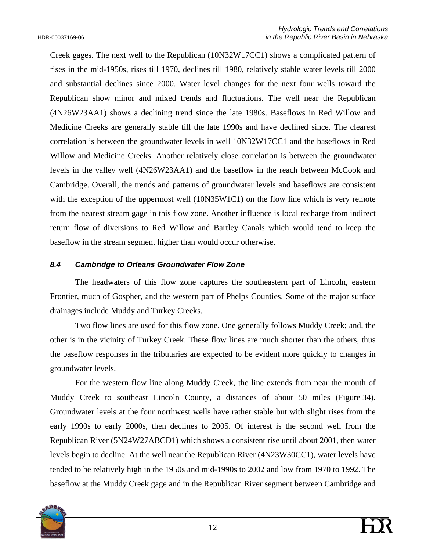Creek gages. The next well to the Republican (10N32W17CC1) shows a complicated pattern of rises in the mid-1950s, rises till 1970, declines till 1980, relatively stable water levels till 2000 and substantial declines since 2000. Water level changes for the next four wells toward the Republican show minor and mixed trends and fluctuations. The well near the Republican (4N26W23AA1) shows a declining trend since the late 1980s. Baseflows in Red Willow and Medicine Creeks are generally stable till the late 1990s and have declined since. The clearest correlation is between the groundwater levels in well 10N32W17CC1 and the baseflows in Red Willow and Medicine Creeks. Another relatively close correlation is between the groundwater levels in the valley well (4N26W23AA1) and the baseflow in the reach between McCook and Cambridge. Overall, the trends and patterns of groundwater levels and baseflows are consistent with the exception of the uppermost well (10N35W1C1) on the flow line which is very remote from the nearest stream gage in this flow zone. Another influence is local recharge from indirect return flow of diversions to Red Willow and Bartley Canals which would tend to keep the baseflow in the stream segment higher than would occur otherwise.

## *8.4 Cambridge to Orleans Groundwater Flow Zone*

The headwaters of this flow zone captures the southeastern part of Lincoln, eastern Frontier, much of Gospher, and the western part of Phelps Counties. Some of the major surface drainages include Muddy and Turkey Creeks.

Two flow lines are used for this flow zone. One generally follows Muddy Creek; and, the other is in the vicinity of Turkey Creek. These flow lines are much shorter than the others, thus the baseflow responses in the tributaries are expected to be evident more quickly to changes in groundwater levels.

For the western flow line along Muddy Creek, the line extends from near the mouth of Muddy Creek to southeast Lincoln County, a distances of about 50 miles (Figure 34). Groundwater levels at the four northwest wells have rather stable but with slight rises from the early 1990s to early 2000s, then declines to 2005. Of interest is the second well from the Republican River (5N24W27ABCD1) which shows a consistent rise until about 2001, then water levels begin to decline. At the well near the Republican River (4N23W30CC1), water levels have tended to be relatively high in the 1950s and mid-1990s to 2002 and low from 1970 to 1992. The baseflow at the Muddy Creek gage and in the Republican River segment between Cambridge and

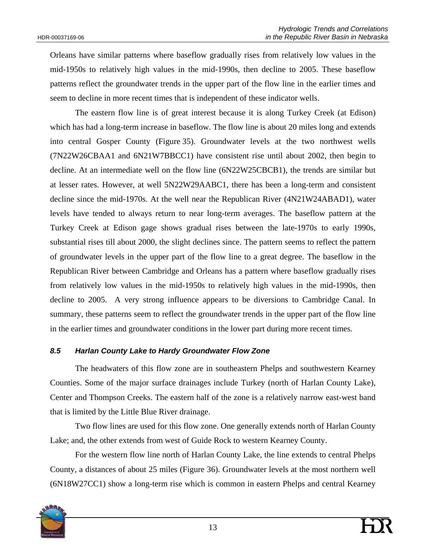Orleans have similar patterns where baseflow gradually rises from relatively low values in the mid-1950s to relatively high values in the mid-1990s, then decline to 2005. These baseflow patterns reflect the groundwater trends in the upper part of the flow line in the earlier times and seem to decline in more recent times that is independent of these indicator wells.

The eastern flow line is of great interest because it is along Turkey Creek (at Edison) which has had a long-term increase in baseflow. The flow line is about 20 miles long and extends into central Gosper County (Figure 35). Groundwater levels at the two northwest wells (7N22W26CBAA1 and 6N21W7BBCC1) have consistent rise until about 2002, then begin to decline. At an intermediate well on the flow line (6N22W25CBCB1), the trends are similar but at lesser rates. However, at well 5N22W29AABC1, there has been a long-term and consistent decline since the mid-1970s. At the well near the Republican River (4N21W24ABAD1), water levels have tended to always return to near long-term averages. The baseflow pattern at the Turkey Creek at Edison gage shows gradual rises between the late-1970s to early 1990s, substantial rises till about 2000, the slight declines since. The pattern seems to reflect the pattern of groundwater levels in the upper part of the flow line to a great degree. The baseflow in the Republican River between Cambridge and Orleans has a pattern where baseflow gradually rises from relatively low values in the mid-1950s to relatively high values in the mid-1990s, then decline to 2005. A very strong influence appears to be diversions to Cambridge Canal. In summary, these patterns seem to reflect the groundwater trends in the upper part of the flow line in the earlier times and groundwater conditions in the lower part during more recent times.

## *8.5 Harlan County Lake to Hardy Groundwater Flow Zone*

The headwaters of this flow zone are in southeastern Phelps and southwestern Kearney Counties. Some of the major surface drainages include Turkey (north of Harlan County Lake), Center and Thompson Creeks. The eastern half of the zone is a relatively narrow east-west band that is limited by the Little Blue River drainage.

Two flow lines are used for this flow zone. One generally extends north of Harlan County Lake; and, the other extends from west of Guide Rock to western Kearney County.

For the western flow line north of Harlan County Lake, the line extends to central Phelps County, a distances of about 25 miles (Figure 36). Groundwater levels at the most northern well (6N18W27CC1) show a long-term rise which is common in eastern Phelps and central Kearney

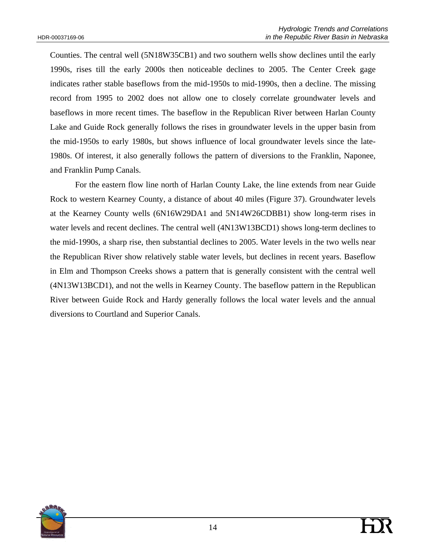Counties. The central well (5N18W35CB1) and two southern wells show declines until the early 1990s, rises till the early 2000s then noticeable declines to 2005. The Center Creek gage indicates rather stable baseflows from the mid-1950s to mid-1990s, then a decline. The missing record from 1995 to 2002 does not allow one to closely correlate groundwater levels and baseflows in more recent times. The baseflow in the Republican River between Harlan County Lake and Guide Rock generally follows the rises in groundwater levels in the upper basin from the mid-1950s to early 1980s, but shows influence of local groundwater levels since the late-1980s. Of interest, it also generally follows the pattern of diversions to the Franklin, Naponee, and Franklin Pump Canals.

For the eastern flow line north of Harlan County Lake, the line extends from near Guide Rock to western Kearney County, a distance of about 40 miles (Figure 37). Groundwater levels at the Kearney County wells (6N16W29DA1 and 5N14W26CDBB1) show long-term rises in water levels and recent declines. The central well (4N13W13BCD1) shows long-term declines to the mid-1990s, a sharp rise, then substantial declines to 2005. Water levels in the two wells near the Republican River show relatively stable water levels, but declines in recent years. Baseflow in Elm and Thompson Creeks shows a pattern that is generally consistent with the central well (4N13W13BCD1), and not the wells in Kearney County. The baseflow pattern in the Republican River between Guide Rock and Hardy generally follows the local water levels and the annual diversions to Courtland and Superior Canals.

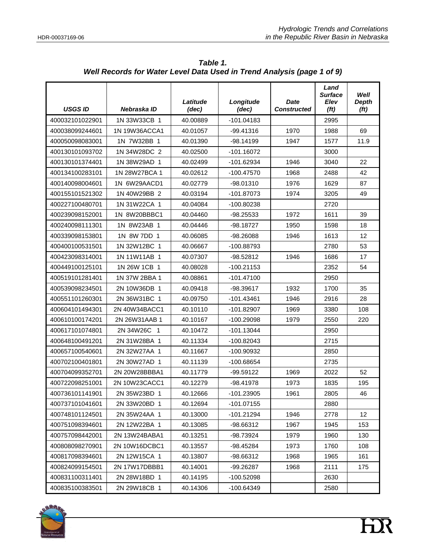| <b>USGS ID</b>  | Nebraska ID   | Latitude<br>(dec) | Longitude<br>(dec) | Date<br><b>Constructed</b> | Land<br><b>Surface</b><br>Elev<br>(f <sub>t</sub> ) | Well<br><b>Depth</b><br>(f <sub>t</sub> ) |
|-----------------|---------------|-------------------|--------------------|----------------------------|-----------------------------------------------------|-------------------------------------------|
| 400032101022901 | 1N 33W33CB 1  | 40.00889          | $-101.04183$       |                            | 2995                                                |                                           |
| 400038099244601 | 1N 19W36ACCA1 | 40.01057          | $-99.41316$        | 1970                       | 1988                                                | 69                                        |
| 400050098083001 | 1N 7W32BB 1   | 40.01390          | $-98.14199$        | 1947                       | 1577                                                | 11.9                                      |
| 400130101093702 | 1N 34W28DC 2  | 40.02500          | -101.16072         |                            | 3000                                                |                                           |
| 400130101374401 | 1N 38W29AD 1  | 40.02499          | -101.62934         | 1946                       | 3040                                                | 22                                        |
| 400134100283101 | 1N 28W27BCA 1 | 40.02612          | -100.47570         | 1968                       | 2488                                                | 42                                        |
| 400140098004601 | 1N 6W29AACD1  | 40.02779          | $-98.01310$        | 1976                       | 1629                                                | 87                                        |
| 400155101521302 | 1N 40W29BB 2  | 40.03194          | $-101.87073$       | 1974                       | 3205                                                | 49                                        |
| 400227100480701 | 1N 31W22CA 1  | 40.04084          | -100.80238         |                            | 2720                                                |                                           |
| 400239098152001 | 1N 8W20BBBC1  | 40.04460          | -98.25533          | 1972                       | 1611                                                | 39                                        |
| 400240098111301 | 1N 8W23AB 1   | 40.04446          | -98.18727          | 1950                       | 1598                                                | 18                                        |
| 400339098153801 | 1N 8W 7DD 1   | 40.06085          | -98.26088          | 1946                       | 1613                                                | 12                                        |
| 400400100531501 | 1N 32W12BC 1  | 40.06667          | -100.88793         |                            | 2780                                                | 53                                        |
| 400423098314001 | 1N 11W11AB 1  | 40.07307          | $-98.52812$        | 1946                       | 1686                                                | 17                                        |
| 400449100125101 | 1N 26W 1CB 1  | 40.08028          | $-100.21153$       |                            | 2352                                                | 54                                        |
| 400519101281401 | 1N 37W 2BBA 1 | 40.08861          | $-101.47100$       |                            | 2950                                                |                                           |
| 400539098234501 | 2N 10W36DB 1  | 40.09418          | -98.39617          | 1932                       | 1700                                                | 35                                        |
| 400551101260301 | 2N 36W31BC 1  | 40.09750          | $-101.43461$       | 1946                       | 2916                                                | 28                                        |
| 400604101494301 | 2N 40W34BACC1 | 40.10110          | -101.82907         | 1969                       | 3380                                                | 108                                       |
| 400610100174201 | 2N 26W31AAB 1 | 40.10167          | $-100.29098$       | 1979                       | 2550                                                | 220                                       |
| 400617101074801 | 2N 34W 26C 1  | 40.10472          | $-101.13044$       |                            | 2950                                                |                                           |
| 400648100491201 | 2N 31W28BA 1  | 40.11334          | $-100.82043$       |                            | 2715                                                |                                           |
| 400657100540601 | 2N 32W27AA 1  | 40.11667          | -100.90932         |                            | 2850                                                |                                           |
| 400702100401801 | 2N 30W27AD 1  | 40.11139          | -100.68654         |                            | 2735                                                |                                           |
| 400704099352701 | 2N 20W28BBBA1 | 40.11779          | $-99.59122$        | 1969                       | 2022                                                | 52                                        |
| 400722098251001 | 2N 10W23CACC1 | 40.12279          | -98.41978          | 1973                       | 1835                                                | 195                                       |
| 400736101141901 | 2N 35W23BD 1  | 40.12666          | $-101.23905$       | 1961                       | 2805                                                | 46                                        |
| 400737101041601 | 2N 33W 20BD 1 | 40.12694          | $-101.07155$       |                            | 2880                                                |                                           |
| 400748101124501 | 2N 35W24AA 1  | 40.13000          | $-101.21294$       | 1946                       | 2778                                                | 12                                        |
| 400751098394601 | 2N 12W22BA 1  | 40.13085          | -98.66312          | 1967                       | 1945                                                | 153                                       |
| 400757098442001 | 2N 13W24BABA1 | 40.13251          | -98.73924          | 1979                       | 1960                                                | 130                                       |
| 400808098270901 | 2N 10W16DCBC1 | 40.13557          | $-98.45284$        | 1973                       | 1760                                                | 108                                       |
| 400817098394601 | 2N 12W15CA 1  | 40.13807          | -98.66312          | 1968                       | 1965                                                | 161                                       |
| 400824099154501 | 2N 17W17DBBB1 | 40.14001          | -99.26287          | 1968                       | 2111                                                | 175                                       |
| 400831100311401 | 2N 28W18BD 1  | 40.14195          | -100.52098         |                            | 2630                                                |                                           |
| 400835100383501 | 2N 29W18CB 1  | 40.14306          | $-100.64349$       |                            | 2580                                                |                                           |

*Table 1. Well Records for Water Level Data Used in Trend Analysis (page 1 of 9)* 

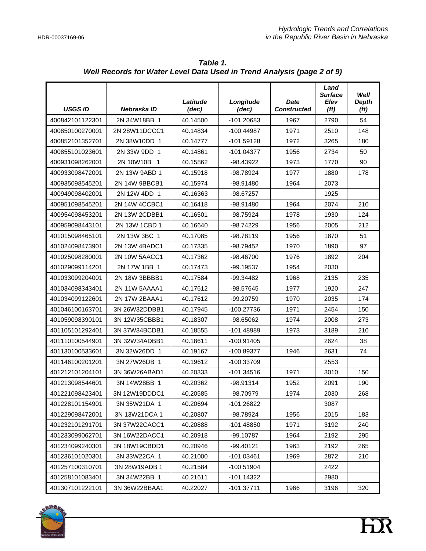| <b>USGS ID</b>  | Nebraska ID   | Latitude<br>(dec) | Longitude<br>(dec)   | <b>Date</b><br><b>Constructed</b> | Land<br><b>Surface</b><br>Elev<br>(f <sub>t</sub> ) | Well<br><b>Depth</b><br>(f <sub>t</sub> ) |
|-----------------|---------------|-------------------|----------------------|-----------------------------------|-----------------------------------------------------|-------------------------------------------|
| 400842101122301 | 2N 34W18BB 1  | 40.14500          | $-101.20683$<br>1967 |                                   | 2790                                                | 54                                        |
| 400850100270001 | 2N 28W11DCCC1 | 40.14834          | $-100.44987$         | 1971                              | 2510                                                | 148                                       |
| 400852101352701 | 2N 38W10DD 1  | 40.14777          | $-101.59128$         | 1972                              | 3265                                                | 180                                       |
| 400855101023601 | 2N 33W 9DD 1  | 40.14861          | $-101.04377$         | 1956                              | 2734                                                | 50                                        |
| 400931098262001 | 2N 10W10B 1   | 40.15862          | -98.43922            | 1973                              | 1770                                                | 90                                        |
| 400933098472001 | 2N 13W 9ABD 1 | 40.15918          | -98.78924            | 1977                              | 1880                                                | 178                                       |
| 400935098545201 | 2N 14W 9BBCB1 | 40.15974          | -98.91480            | 1964                              | 2073                                                |                                           |
| 400949098402001 | 2N 12W 4DD 1  | 40.16363          | -98.67257            |                                   | 1925                                                |                                           |
| 400951098545201 | 2N 14W 4CCBC1 | 40.16418          | -98.91480            | 1964                              | 2074                                                | 210                                       |
| 400954098453201 | 2N 13W 2CDBB1 | 40.16501          | -98.75924            | 1978                              | 1930                                                | 124                                       |
| 400959098443101 | 2N 13W 1CBD 1 | 40.16640          | -98.74229            | 1956                              | 2005                                                | 212                                       |
| 401015098465101 | 2N 13W 3BC 1  | 40.17085          | -98.78119            | 1956                              | 1870                                                | 51                                        |
| 401024098473901 | 2N 13W 4BADC1 | 40.17335          | -98.79452            | 1970                              | 1890                                                | 97                                        |
| 401025098280001 | 2N 10W 5AACC1 | 40.17362          | -98.46700            | 1976                              | 1892                                                | 204                                       |
| 401029099114201 | 2N 17W 1BB 1  | 40.17473          | -99.19537            | 1954                              | 2030                                                |                                           |
| 401033099204001 | 2N 18W 3BBBB1 | 40.17584          | -99.34482            | 1968                              | 2135                                                | 235                                       |
| 401034098343401 | 2N 11W 5AAAA1 | 40.17612          | -98.57645            | 1977                              | 1920                                                | 247                                       |
| 401034099122601 | 2N 17W 2BAAA1 | 40.17612          | -99.20759            | 1970                              | 2035                                                | 174                                       |
| 401046100163701 | 3N 26W32DDBB1 | 40.17945          | $-100.27736$         | 1971                              | 2454                                                | 150                                       |
| 401059098390101 | 3N 12W35CBBB1 | 40.18307          | -98.65062            | 1974                              | 2008                                                | 273                                       |
| 401105101292401 | 3N 37W34BCDB1 | 40.18555          | -101.48989           | 1973                              | 3189                                                | 210                                       |
| 401110100544901 | 3N 32W34ADBB1 | 40.18611          | $-100.91405$         |                                   | 2624                                                | 38                                        |
| 401130100533601 | 3N 32W26DD 1  | 40.19167          | -100.89377           | 1946                              | 2631                                                | 74                                        |
| 401146100201201 | 3N 27W26DB 1  | 40.19612          | -100.33709           |                                   | 2553                                                |                                           |
| 401212101204101 | 3N 36W26ABAD1 | 40.20333          | $-101.34516$         | 1971                              | 3010                                                | 150                                       |
| 401213098544601 | 3N 14W28BB 1  | 40.20362          | -98.91314            | 1952                              | 2091                                                | 190                                       |
| 401221098423401 | 3N 12W19DDDC1 | 40.20585          | -98.70979            | 1974                              | 2030                                                | 268                                       |
| 401228101154901 | 3N 35W21DA 1  | 40.20694          | -101.26822           |                                   | 3087                                                |                                           |
| 401229098472001 | 3N 13W21DCA 1 | 40.20807          | -98.78924            | 1956                              | 2015                                                | 183                                       |
| 401232101291701 | 3N 37W22CACC1 | 40.20888          | -101.48850           | 1971                              | 3192                                                | 240                                       |
| 401233099062701 | 3N 16W22DACC1 | 40.20918          | -99.10787            | 1964                              | 2192                                                | 295                                       |
| 401234099240301 | 3N 18W19CBDD1 | 40.20946          | -99.40121            | 1963                              | 2192                                                | 265                                       |
| 401236101020301 | 3N 33W22CA 1  | 40.21000          | $-101.03461$         | 1969                              | 2872                                                | 210                                       |
| 401257100310701 | 3N 28W19ADB 1 | 40.21584          | $-100.51904$         |                                   | 2422                                                |                                           |
| 401258101083401 | 3N 34W22BB 1  | 40.21611          | $-101.14322$         |                                   | 2980                                                |                                           |
| 401307101222101 | 3N 36W22BBAA1 | 40.22027          | $-101.37711$         | 1966                              | 3196                                                | 320                                       |

*Table 1. Well Records for Water Level Data Used in Trend Analysis (page 2 of 9)* 

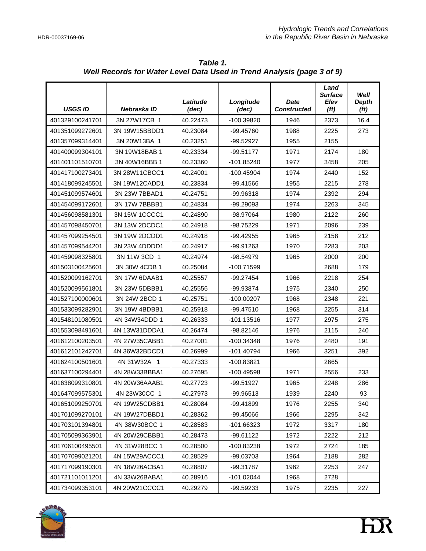| <b>USGS ID</b>  | Nebraska ID   | Latitude<br>(dec) | Longitude<br>(dec) | Date<br><b>Constructed</b> | Land<br><b>Surface</b><br>Elev<br>(f <sub>t</sub> ) | Well<br><b>Depth</b><br>(f <sub>t</sub> ) |
|-----------------|---------------|-------------------|--------------------|----------------------------|-----------------------------------------------------|-------------------------------------------|
| 401329100241701 | 3N 27W17CB 1  | 40.22473          | -100.39820<br>1946 |                            | 2373                                                | 16.4                                      |
| 401351099272601 | 3N 19W15BBDD1 | 40.23084          | -99.45760          | 1988                       | 2225                                                | 273                                       |
| 401357099314401 | 3N 20W13BA 1  | 40.23251          | -99.52927          | 1955                       | 2155                                                |                                           |
| 401400099304101 | 3N 19W18BAB 1 | 40.23334          | $-99.51177$        | 1971                       | 2174                                                | 180                                       |
| 401401101510701 | 3N 40W16BBB 1 | 40.23360          | -101.85240         | 1977                       | 3458                                                | 205                                       |
| 401417100273401 | 3N 28W11CBCC1 | 40.24001          | -100.45904         | 1974                       | 2440                                                | 152                                       |
| 401418099245501 | 3N 19W12CADD1 | 40.23834          | -99.41566          | 1955                       | 2215                                                | 278                                       |
| 401451099574601 | 3N 23W 7BBAD1 | 40.24751          | $-99.96318$        | 1974                       | 2392                                                | 294                                       |
| 401454099172601 | 3N 17W 7BBBB1 | 40.24834          | -99.29093          | 1974                       | 2263                                                | 345                                       |
| 401456098581301 | 3N 15W 1CCCC1 | 40.24890          | -98.97064          | 1980                       | 2122                                                | 260                                       |
| 401457098450701 | 3N 13W 2DCDC1 | 40.24918          | -98.75229          | 1971                       | 2096                                                | 239                                       |
| 401457099254501 | 3N 19W 2DCDD1 | 40.24918          | -99.42955          | 1965                       | 2158                                                | 212                                       |
| 401457099544201 | 3N 23W 4DDDD1 | 40.24917          | -99.91263          | 1970                       | 2283                                                | 203                                       |
| 401459098325801 | 3N 11W 3CD 1  | 40.24974          | -98.54979          | 1965                       | 2000                                                | 200                                       |
| 401503100425601 | 3N 30W 4CDB 1 | 40.25084          | -100.71599         |                            | 2688                                                | 179                                       |
| 401520099162701 | 3N 17W 6DAAB1 | 40.25557          | $-99.27454$        | 1966                       |                                                     | 254                                       |
| 401520099561801 | 3N 23W 5DBBB1 | 40.25556          | -99.93874          | 1975                       | 2340                                                | 250                                       |
| 401527100000601 | 3N 24W 2BCD 1 | 40.25751          | $-100.00207$       | 1968                       | 2348                                                | 221                                       |
| 401533099282901 | 3N 19W 4BDBB1 | 40.25918          | -99.47510          | 1968                       | 2255                                                | 314                                       |
| 401548101080501 | 4N 34W34DDD 1 | 40.26333          | $-101.13516$       | 1977                       | 2975                                                | 275                                       |
| 401553098491601 | 4N 13W31DDDA1 | 40.26474          | -98.82146          | 1976                       | 2115                                                | 240                                       |
| 401612100203501 | 4N 27W35CABB1 | 40.27001          | $-100.34348$       | 1976                       | 2480                                                | 191                                       |
| 401612101242701 | 4N 36W32BDCD1 | 40.26999          | $-101.40794$       | 1966                       | 3251                                                | 392                                       |
| 401624100501601 | 4N 31W32A 1   | 40.27333          | -100.83821         |                            | 2665                                                |                                           |
| 401637100294401 | 4N 28W33BBBA1 | 40.27695          | -100.49598         | 1971                       | 2556                                                | 233                                       |
| 401638099310801 | 4N 20W36AAAB1 | 40.27723          | -99.51927          | 1965                       | 2248                                                | 286                                       |
| 401647099575301 | 4N 23W30CC 1  | 40.27973          | -99.96513          | 1939                       | 2240                                                | 93                                        |
| 401651099250701 | 4N 19W25CDBB1 | 40.28084          | -99.41899          | 1976                       | 2255                                                | 340                                       |
| 401701099270101 | 4N 19W27DBBD1 | 40.28362          | -99.45066          | 1966                       | 2295                                                | 342                                       |
| 401703101394801 | 4N 38W30BCC 1 | 40.28583          | -101.66323         | 1972                       | 3317                                                | 180                                       |
| 401705099363901 | 4N 20W29CBBB1 | 40.28473          | $-99.61122$        | 1972                       | 2222                                                | 212                                       |
| 401706100495501 | 4N 31W28BCC 1 | 40.28500          | -100.83238         | 1972                       | 2724                                                | 185                                       |
| 401707099021201 | 4N 15W29ACCC1 | 40.28529          | -99.03703          | 1964                       | 2188                                                | 282                                       |
| 401717099190301 | 4N 18W26ACBA1 | 40.28807          | -99.31787          | 1962                       | 2253                                                | 247                                       |
| 401721101011201 | 4N 33W26BABA1 | 40.28916          | $-101.02044$       | 1968                       | 2728                                                |                                           |
| 401734099353101 | 4N 20W21CCCC1 | 40.29279          | -99.59233          | 1975                       | 2235                                                | 227                                       |

*Table 1. Well Records for Water Level Data Used in Trend Analysis (page 3 of 9)* 

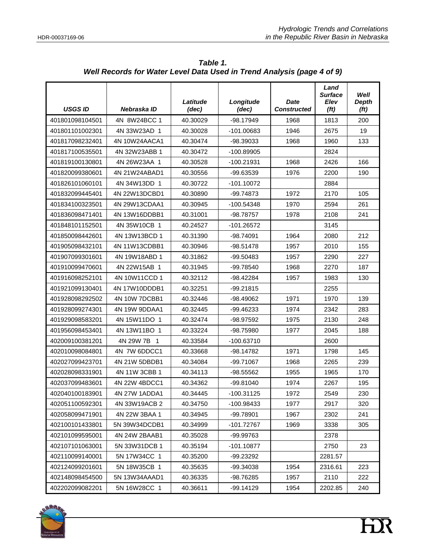| <b>USGS ID</b>  | Nebraska ID   | Latitude<br>(dec) | Longitude<br>(dec) | Date<br><b>Constructed</b> | Land<br><b>Surface</b><br>Elev<br>(f <sub>t</sub> ) | Well<br><b>Depth</b><br>(f <sub>t</sub> ) |
|-----------------|---------------|-------------------|--------------------|----------------------------|-----------------------------------------------------|-------------------------------------------|
| 401801098104501 | 4N 8W24BCC 1  | 40.30029          | $-98.17949$        | 1968                       | 1813                                                | 200                                       |
| 401801101002301 | 4N 33W23AD 1  | 40.30028          | $-101.00683$       | 1946                       | 2675                                                | 19                                        |
| 401817098232401 | 4N 10W24AACA1 | 40.30474          | -98.39033          | 1968                       | 1960                                                | 133                                       |
| 401817100535501 | 4N 32W23ABB 1 | 40.30472          | -100.89905         |                            | 2824                                                |                                           |
| 401819100130801 | 4N 26W23AA 1  | 40.30528          | -100.21931         | 1968                       | 2426                                                | 166                                       |
| 401820099380601 | 4N 21W24ABAD1 | 40.30556          | -99.63539          | 1976                       | 2200                                                | 190                                       |
| 401826101060101 | 4N 34W13DD 1  | 40.30722          | $-101.10072$       |                            | 2884                                                |                                           |
| 401832099445401 | 4N 22W13DCBD1 | 40.30890          | -99.74873          | 1972                       | 2170                                                | 105                                       |
| 401834100323501 | 4N 29W13CDAA1 | 40.30945          | -100.54348         | 1970                       | 2594                                                | 261                                       |
| 401836098471401 | 4N 13W16DDBB1 | 40.31001          | -98.78757          | 1978                       | 2108                                                | 241                                       |
| 401848101152501 | 4N 35W10CB 1  | 40.24527          | $-101.26572$       |                            | 3145                                                |                                           |
| 401850098442601 | 4N 13W13BCD 1 | 40.31390          | -98.74091          | 1964                       | 2080                                                | 212                                       |
| 401905098432101 | 4N 11W13CDBB1 | 40.30946          | -98.51478          | 1957                       | 2010                                                | 155                                       |
| 401907099301601 | 4N 19W18ABD 1 | 40.31862          | $-99.50483$        | 1957                       | 2290                                                | 227                                       |
| 401910099470601 | 4N 22W15AB 1  | 40.31945          | -99.78540          | 1968                       | 2270                                                | 187                                       |
| 401916098252101 | 4N 10W11CCD 1 | 40.32112          | $-98.42284$        | 1957                       |                                                     | 130                                       |
| 401921099130401 | 4N 17W10DDDB1 | 40.32251          | -99.21815          |                            | 2255                                                |                                           |
| 401928098292502 | 4N 10W 7DCBB1 | 40.32446          | $-98.49062$        | 1971                       | 1970                                                | 139                                       |
| 401928099274301 | 4N 19W 9DDAA1 | 40.32445          | -99.46233          | 1974                       | 2342                                                | 283                                       |
| 401929098583201 | 4N 15W11DO 1  | 40.32474          | -98.97592          | 1975                       | 2130                                                | 248                                       |
| 401956098453401 | 4N 13W11BO 1  | 40.33224          | -98.75980          | 1977                       | 2045                                                | 188                                       |
| 402009100381201 | 4N 29W 7B 1   | 40.33584          | $-100.63710$       |                            | 2600                                                |                                           |
| 402010098084801 | 4N 7W 6DDCC1  | 40.33668          | $-98.14782$        | 1971                       | 1798                                                | 145                                       |
| 402027099423701 | 4N 21W 5DBDB1 | 40.34084          | -99.71067          | 1968                       | 2265                                                | 239                                       |
| 402028098331901 | 4N 11W 3CBB 1 | 40.34113          | -98.55562          | 1955                       | 1965                                                | 170                                       |
| 402037099483601 | 4N 22W 4BDCC1 | 40.34362          | -99.81040          | 1974                       | 2267                                                | 195                                       |
| 402040100183901 | 4N 27W 1ADDA1 | 40.34445          | $-100.31125$       | 1972                       | 2549                                                | 230                                       |
| 402051100592301 | 4N 33W19ACB 2 | 40.34750          | $-100.98433$       | 1977                       | 2917                                                | 320                                       |
| 402058099471901 | 4N 22W 3BAA 1 | 40.34945          | -99.78901          | 1967                       | 2302                                                | 241                                       |
| 402100101433801 | 5N 39W34DCDB1 | 40.34999          | -101.72767         | 1969                       | 3338                                                | 305                                       |
| 402101099595001 | 4N 24W 2BAAB1 | 40.35028          | -99.99763          |                            | 2378                                                |                                           |
| 402107101063001 | 5N 33W31DCB 1 | 40.35194          | $-101.10877$       |                            | 2750                                                | 23                                        |
| 402110099140001 | 5N 17W34CC 1  | 40.35200          | -99.23292          |                            | 2281.57                                             |                                           |
| 402124099201601 | 5N 18W35CB 1  | 40.35635          | -99.34038          | 1954                       | 2316.61                                             | 223                                       |
| 402148098454500 | 5N 13W34AAAD1 | 40.36335          | -98.76285          | 1957                       | 2110                                                | 222                                       |
| 402202099082201 | 5N 16W28CC 1  | 40.36611          | -99.14129          | 1954                       | 2202.85                                             | 240                                       |

*Table 1. Well Records for Water Level Data Used in Trend Analysis (page 4 of 9)* 

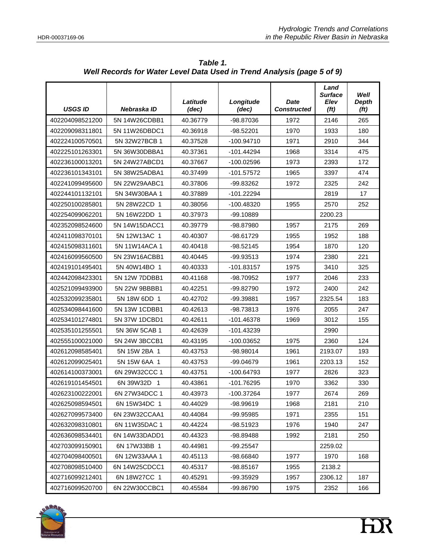| <b>USGS ID</b>  | Nebraska ID   | Latitude<br>(dec) | Longitude<br>(dec) | <b>Date</b><br><b>Constructed</b> | Land<br><b>Surface</b><br>Elev<br>(f <sub>t</sub> ) | Well<br><b>Depth</b><br>(f <sub>t</sub> ) |
|-----------------|---------------|-------------------|--------------------|-----------------------------------|-----------------------------------------------------|-------------------------------------------|
| 402204098521200 | 5N 14W26CDBB1 | 40.36779          | -98.87036<br>1972  |                                   | 2146                                                | 265                                       |
| 402209098311801 | 5N 11W26DBDC1 | 40.36918          | -98.52201          | 1970                              | 1933                                                | 180                                       |
| 402224100570501 | 5N 32W27BCB 1 | 40.37528          | $-100.94710$       | 1971                              | 2910                                                | 344                                       |
| 402225101263301 | 5N 36W30DBBA1 | 40.37361          | -101.44294         | 1968                              | 3314                                                | 475                                       |
| 402236100013201 | 5N 24W27ABCD1 | 40.37667          | $-100.02596$       | 1973                              | 2393                                                | 172                                       |
| 402236101343101 | 5N 38W25ADBA1 | 40.37499          | $-101.57572$       | 1965                              | 3397                                                | 474                                       |
| 402241099495600 | 5N 22W29AABC1 | 40.37806          | -99.83262          | 1972                              | 2325                                                | 242                                       |
| 402244101132101 | 5N 34W30BAA 1 | 40.37889          | $-101.22294$       |                                   | 2819                                                | 17                                        |
| 402250100285801 | 5N 28W22CD 1  | 40.38056          | -100.48320         | 1955                              | 2570                                                | 252                                       |
| 402254099062201 | 5N 16W22DD 1  | 40.37973          | -99.10889          |                                   | 2200.23                                             |                                           |
| 402352098524600 | 5N 14W15DACC1 | 40.39779          | -98.87980          | 1957                              | 2175                                                | 269                                       |
| 402411098370101 | 5N 12W13AC 1  | 40.40307          | -98.61729          | 1955                              | 1952                                                | 188                                       |
| 402415098311601 | 5N 11W14ACA 1 | 40.40418          | $-98.52145$        | 1954                              | 1870                                                | 120                                       |
| 402416099560500 | 5N 23W16ACBB1 | 40.40445          | $-99.93513$        | 1974                              | 2380                                                | 221                                       |
| 402419101495401 | 5N 40W14BO 1  | 40.40333          | $-101.83157$       | 1975                              | 3410                                                | 325                                       |
| 402442098423301 | 5N 12W 7DDBB1 | 40.41168          | -98.70952          | 1977                              | 2046                                                | 233                                       |
| 402521099493900 | 5N 22W 9BBBB1 | 40.42251          | -99.82790          | 1972                              | 2400                                                | 242                                       |
| 402532099235801 | 5N 18W 6DD 1  | 40.42702          | -99.39881          | 1957                              | 2325.54                                             | 183                                       |
| 402534098441600 | 5N 13W 1CDBB1 | 40.42613          | $-98.73813$        | 1976                              | 2055                                                | 247                                       |
| 402534101274801 | 5N 37W 1DCBD1 | 40.42611          | $-101.46378$       | 1969                              | 3012                                                | 155                                       |
| 402535101255501 | 5N 36W 5CAB 1 | 40.42639          | -101.43239         |                                   | 2990                                                |                                           |
| 402555100021000 | 5N 24W 3BCCB1 | 40.43195          | -100.03652         | 1975                              | 2360                                                | 124                                       |
| 402612098585401 | 5N 15W 2BA 1  | 40.43753          | -98.98014          | 1961                              | 2193.07                                             | 193                                       |
| 402612099025401 | 5N 15W 6AA 1  | 40.43753          | -99.04679          | 1961                              | 2203.13                                             | 152                                       |
| 402614100373001 | 6N 29W32CCC 1 | 40.43751          | -100.64793         | 1977                              | 2826                                                | 323                                       |
| 402619101454501 | 6N 39W 32D 1  | 40.43861          | -101.76295         | 1970                              | 3362                                                | 330                                       |
| 402623100222001 | 6N 27W34DCC 1 | 40.43973          | -100.37264         | 1977                              | 2674                                                | 269                                       |
| 402625098594501 | 6N 15W34DC 1  | 40.44029          | -98.99619          | 1968                              | 2181                                                | 210                                       |
| 402627099573400 | 6N 23W32CCAA1 | 40.44084          | -99.95985          | 1971                              | 2355                                                | 151                                       |
| 402632098310801 | 6N 11W35DAC 1 | 40.44224          | -98.51923          | 1976                              | 1940                                                | 247                                       |
| 402636098534401 | 6N 14W33DADD1 | 40.44323          | -98.89488          | 1992                              | 2181                                                | 250                                       |
| 402703099150901 | 6N 17W33BB 1  | 40.44981          | -99.25547          |                                   | 2259.02                                             |                                           |
| 402704098400501 | 6N 12W33AAA 1 | 40.45113          | -98.66840          | 1977                              | 1970                                                | 168                                       |
| 402708098510400 | 6N 14W25CDCC1 | 40.45317          | -98.85167          | 1955                              | 2138.2                                              |                                           |
| 402716099212401 | 6N 18W27CC 1  | 40.45291          | -99.35929          | 1957                              | 2306.12                                             | 187                                       |
| 402716099520700 | 6N 22W30CCBC1 | 40.45584          | -99.86790          | 1975                              | 2352                                                | 166                                       |

*Table 1. Well Records for Water Level Data Used in Trend Analysis (page 5 of 9)* 

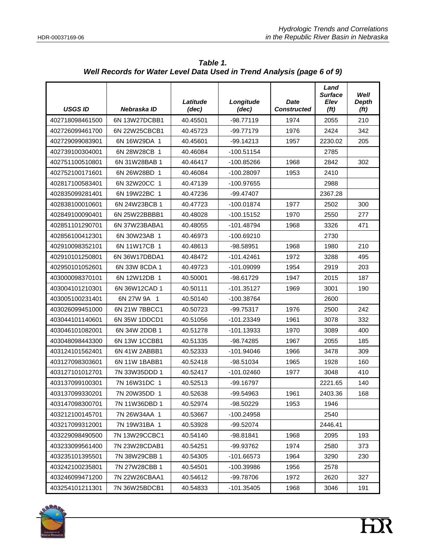| <b>USGS ID</b>  | Nebraska ID   | Latitude<br>(dec) | Longitude<br>(dec)  | Date<br><b>Constructed</b> | Land<br><b>Surface</b><br>Elev<br>(f <sub>t</sub> ) | Well<br><b>Depth</b><br>(f <sub>t</sub> ) |
|-----------------|---------------|-------------------|---------------------|----------------------------|-----------------------------------------------------|-------------------------------------------|
| 402718098461500 | 6N 13W27DCBB1 | 40.45501          | $-98.77119$<br>1974 |                            | 2055                                                | 210                                       |
| 402726099461700 | 6N 22W25CBCB1 | 40.45723          | -99.77179           | 1976                       | 2424                                                | 342                                       |
| 402729099083901 | 6N 16W29DA 1  | 40.45601          | $-99.14213$         | 1957                       | 2230.02                                             | 205                                       |
| 402739100304001 | 6N 28W 28CB 1 | 40.46084          | $-100.51154$        |                            | 2785                                                |                                           |
| 402751100510801 | 6N 31W28BAB 1 | 40.46417          | $-100.85266$        | 1968                       | 2842                                                | 302                                       |
| 402752100171601 | 6N 26W 28BD 1 | 40.46084          | -100.28097          | 1953                       | 2410                                                |                                           |
| 402817100583401 | 6N 32W 20CC 1 | 40.47139          | -100.97655          |                            | 2988                                                |                                           |
| 402835099281401 | 6N 19W22BC 1  | 40.47236          | -99.47407           |                            | 2367.28                                             |                                           |
| 402838100010601 | 6N 24W23BCB 1 | 40.47723          | $-100.01874$        | 1977                       | 2502                                                | 300                                       |
| 402849100090401 | 6N 25W22BBBB1 | 40.48028          | -100.15152          | 1970                       | 2550                                                | 277                                       |
| 402851101290701 | 6N 37W23BABA1 | 40.48055          | $-101.48794$        | 1968                       | 3326                                                | 471                                       |
| 402856100412301 | 6N 30W23AB 1  | 40.46973          | -100.69210          |                            | 2730                                                |                                           |
| 402910098352101 | 6N 11W17CB 1  | 40.48613          | -98.58951           | 1968                       | 1980                                                | 210                                       |
| 402910101250801 | 6N 36W17DBDA1 | 40.48472          | $-101.42461$        | 1972                       | 3288                                                | 495                                       |
| 402950101052601 | 6N 33W 8CDA 1 | 40.49723          | $-101.09099$        | 1954                       | 2919                                                | 203                                       |
| 403000098370101 | 6N 12W12DB 1  | 40.50001          | -98.61729           | 1947                       | 2015                                                | 187                                       |
| 403004101210301 | 6N 36W12CAD 1 | 40.50111          | $-101.35127$        | 1969                       | 3001                                                | 190                                       |
| 403005100231401 | 6N 27W 9A 1   | 40.50140          | -100.38764          |                            | 2600                                                |                                           |
| 403026099451000 | 6N 21W 7BBCC1 | 40.50723          | -99.75317           | 1976                       | 2500                                                | 242                                       |
| 403044101140601 | 6N 35W 1DDCD1 | 40.51056          | $-101.23349$        | 1961                       | 3078                                                | 332                                       |
| 403046101082001 | 6N 34W 2DDB 1 | 40.51278          | $-101.13933$        | 1970                       | 3089                                                | 400                                       |
| 403048098443300 | 6N 13W 1CCBB1 | 40.51335          | -98.74285           | 1967                       | 2055                                                | 185                                       |
| 403124101562401 | 6N 41W 2ABBB1 | 40.52333          | -101.94046          | 1966                       | 3478                                                | 309                                       |
| 403127098303601 | 6N 11W 1BABB1 | 40.52418          | -98.51034           | 1965                       | 1928                                                | 160                                       |
| 403127101012701 | 7N 33W35DDD 1 | 40.52417          | $-101.02460$        | 1977                       | 3048                                                | 410                                       |
| 403137099100301 | 7N 16W31DC 1  | 40.52513          | -99.16797           |                            | 2221.65                                             | 140                                       |
| 403137099330201 | 7N 20W35DD 1  | 40.52638          | -99.54963           | 1961                       | 2403.36                                             | 168                                       |
| 403147098300701 | 7N 11W36DBD 1 | 40.52974          | -98.50229           | 1953                       | 1946                                                |                                           |
| 403212100145701 | 7N 26W34AA 1  | 40.53667          | -100.24958          |                            | 2540                                                |                                           |
| 403217099312001 | 7N 19W31BA 1  | 40.53928          | -99.52074           |                            | 2446.41                                             |                                           |
| 403229098490500 | 7N 13W29CCBC1 | 40.54140          | -98.81841           | 1968                       | 2095                                                | 193                                       |
| 403233099561400 | 7N 23W28CDAB1 | 40.54251          | -99.93762           | 1974                       | 2580                                                | 373                                       |
| 403235101395501 | 7N 38W29CBB 1 | 40.54305          | -101.66573          | 1964                       | 3290                                                | 230                                       |
| 403242100235801 | 7N 27W28CBB 1 | 40.54501          | -100.39986          | 1956                       | 2578                                                |                                           |
| 403246099471200 | 7N 22W26CBAA1 | 40.54612          | -99.78706           | 1972                       | 2620                                                | 327                                       |
| 403254101211301 | 7N 36W25BDCB1 | 40.54833          | $-101.35405$        | 1968                       | 3046                                                | 191                                       |

*Table 1. Well Records for Water Level Data Used in Trend Analysis (page 6 of 9)* 

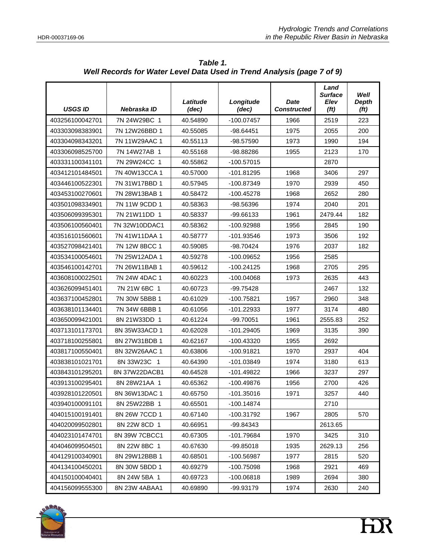| <b>USGS ID</b>  | Nebraska ID    | Latitude<br>(dec) | Longitude<br>(dec)   | <b>Date</b><br><b>Constructed</b> | Land<br><b>Surface</b><br>Elev<br>(f <sub>t</sub> ) | Well<br><b>Depth</b><br>(f <sub>t</sub> ) |
|-----------------|----------------|-------------------|----------------------|-----------------------------------|-----------------------------------------------------|-------------------------------------------|
| 403256100042701 | 7N 24W29BC 1   | 40.54890          | $-100.07457$<br>1966 |                                   | 2519                                                | 223                                       |
| 403303098383901 | 7N 12W26BBD 1  | 40.55085          | $-98.64451$          | 1975                              | 2055                                                | 200                                       |
| 403304098343201 | 7N 11W29AAC 1  | 40.55113          | -98.57590            | 1973                              | 1990                                                | 194                                       |
| 403306098525700 | 7N 14W27AB 1   | 40.55168          | -98.88286            | 1955                              | 2123                                                | 170                                       |
| 403331100341101 | 7N 29W24CC 1   | 40.55862          | $-100.57015$         |                                   | 2870                                                |                                           |
| 403412101484501 | 7N 40W13CCA 1  | 40.57000          | -101.81295           | 1968                              | 3406                                                | 297                                       |
| 403446100522301 | 7N 31W17BBD 1  | 40.57945          | -100.87349           | 1970                              | 2939                                                | 450                                       |
| 403453100270601 | 7N 28W13BAB 1  | 40.58472          | $-100.45278$         | 1968                              | 2652                                                | 280                                       |
| 403501098334901 | 7N 11W 9CDD 1  | 40.58363          | -98.56396            | 1974                              | 2040                                                | 201                                       |
| 403506099395301 | 7N 21W11DD 1   | 40.58337          | -99.66133            | 1961                              | 2479.44                                             | 182                                       |
| 403506100560401 | 7N 32W10DDAC1  | 40.58362          | -100.92988           | 1956                              | 2845                                                | 190                                       |
| 403516101560601 | 7N 41W11DAA 1  | 40.58777          | -101.93546           | 1973                              | 3506                                                | 192                                       |
| 403527098421401 | 7N 12W 8BCC 1  | 40.59085          | -98.70424            | 1976                              | 2037                                                | 182                                       |
| 403534100054601 | 7N 25W12ADA 1  | 40.59278          | $-100.09652$         | 1956                              | 2585                                                |                                           |
| 403546100142701 | 7N 26W11BAB 1  | 40.59612          | $-100.24125$         | 1968                              | 2705                                                | 295                                       |
| 403608100022501 | 7N 24W 4DAC 1  | 40.60223          | -100.04068           | 1973                              |                                                     | 443                                       |
| 403626099451401 | 7N 21W 6BC 1   | 40.60723          | -99.75428            |                                   | 2467                                                | 132                                       |
| 403637100452801 | 7N 30W 5BBB 1  | 40.61029          | $-100.75821$         | 1957                              | 2960                                                | 348                                       |
| 403638101134401 | 7N 34W 6BBB 1  | 40.61056          | $-101.22933$         | 1977                              | 3174                                                | 480                                       |
| 403650099421001 | 8N 21W33DD 1   | 40.61224          | -99.70051            | 1961                              | 2555.83                                             | 252                                       |
| 403713101173701 | 8N 35W33ACD 1  | 40.62028          | $-101.29405$         | 1969                              | 3135                                                | 390                                       |
| 403718100255801 | 8N 27W31BDB 1  | 40.62167          | -100.43320           | 1955                              | 2692                                                |                                           |
| 403817100550401 | 8N 32W26AAC 1  | 40.63806          | -100.91821           | 1970                              | 2937                                                | 404                                       |
| 403838101021701 | 8N 33W23C<br>1 | 40.64390          | -101.03849           | 1974                              | 3180                                                | 613                                       |
| 403843101295201 | 8N 37W22DACB1  | 40.64528          | -101.49822           | 1966                              | 3237                                                | 297                                       |
| 403913100295401 | 8N 28W21AA 1   | 40.65362          | -100.49876           | 1956                              | 2700                                                | 426                                       |
| 403928101220501 | 8N 36W13DAC 1  | 40.65750          | -101.35016           | 1971                              | 3257                                                | 440                                       |
| 403940100091101 | 8N 25W 22BB 1  | 40.65501          | $-100.14874$         |                                   | 2710                                                |                                           |
| 404015100191401 | 8N 26W 7CCD 1  | 40.67140          | -100.31792           | 1967                              | 2805                                                | 570                                       |
| 404020099502801 | 8N 22W 8CD 1   | 40.66951          | -99.84343            |                                   | 2613.65                                             |                                           |
| 404023101474701 | 8N 39W 7CBCC1  | 40.67305          | $-101.79684$         | 1970                              | 3425                                                | 310                                       |
| 404046099504501 | 8N 22W 8BC 1   | 40.67630          | $-99.85018$          | 1935                              | 2629.13                                             | 256                                       |
| 404129100340901 | 8N 29W12BBB 1  | 40.68501          | $-100.56987$         | 1977                              | 2815                                                | 520                                       |
| 404134100450201 | 8N 30W 5BDD 1  | 40.69279          | -100.75098           | 1968                              | 2921                                                | 469                                       |
| 404150100040401 | 8N 24W 5BA 1   | 40.69723          | $-100.06818$         | 1989                              | 2694                                                | 380                                       |
| 404156099555300 | 8N 23W 4ABAA1  | 40.69890          | -99.93179            | 1974                              | 2630                                                | 240                                       |

*Table 1. Well Records for Water Level Data Used in Trend Analysis (page 7 of 9)* 

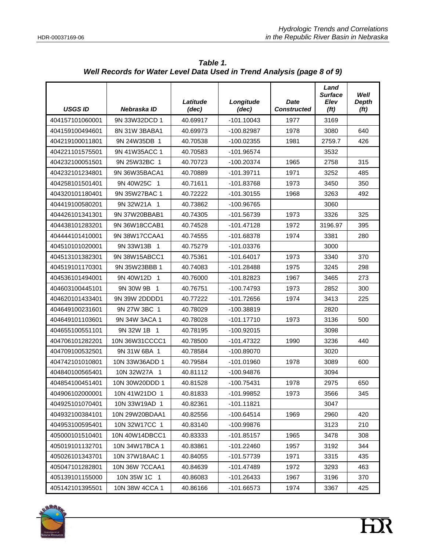| <b>USGS ID</b>  | Nebraska ID                 | Latitude<br>(dec) | Longitude<br>(dec) | Date<br><b>Constructed</b> | Land<br><b>Surface</b><br>Elev<br>(f <sub>t</sub> ) | Well<br><b>Depth</b><br>(f <sub>t</sub> ) |
|-----------------|-----------------------------|-------------------|--------------------|----------------------------|-----------------------------------------------------|-------------------------------------------|
| 404157101060001 | 9N 33W32DCD 1               | 40.69917          | $-101.10043$       | 1977                       | 3169                                                |                                           |
| 404159100494601 | 8N 31W 3BABA1               | 40.69973          | -100.82987         | 1978                       | 3080                                                | 640                                       |
| 404219100011801 | 9N 24W35DB 1                | 40.70538          | $-100.02355$       | 1981                       | 2759.7                                              | 426                                       |
| 404221101575501 | 9N 41W35ACC 1               | 40.70583          | -101.96574         |                            | 3532                                                |                                           |
| 404232100051501 | 9N 25W32BC 1                | 40.70723          | -100.20374         | 1965                       | 2758                                                | 315                                       |
| 404232101234801 | 9N 36W35BACA1               | 40.70889          | $-101.39711$       | 1971                       | 3252                                                | 485                                       |
| 404258101501401 | 9N 40W25C 1                 | 40.71611          | -101.83768         | 1973                       | 3450                                                | 350                                       |
| 404320101180401 | 9N 35W27BAC 1               | 40.72222          | $-101.30155$       | 1968                       | 3263                                                | 492                                       |
| 404419100580201 | 9N 32W21A 1                 | 40.73862          | -100.96765         |                            | 3060                                                |                                           |
| 404426101341301 | 9N 37W20BBAB1               | 40.74305          | -101.56739         | 1973                       | 3326                                                | 325                                       |
| 404438101283201 | 9N 36W18CCAB1               | 40.74528          | $-101.47128$       | 1972                       | 3196.97                                             | 395                                       |
| 404444101410001 | 9N 38W17CCAA1               | 40.74555          | -101.68378         | 1974                       | 3381                                                | 280                                       |
| 404510101020001 | 9N 33W13B 1                 | 40.75279          | $-101.03376$       |                            | 3000                                                |                                           |
| 404513101382301 | 9N 38W15ABCC1               | 40.75361          | $-101.64017$       | 1973                       | 3340                                                | 370                                       |
| 404519101170301 | 9N 35W23BBB 1               | 40.74083          | $-101.28488$       | 1975                       | 3245                                                | 298                                       |
| 404536101494001 | 9N 40W12D<br>$\overline{1}$ | 40.76000          | $-101.82823$       | 1967                       | 3465                                                | 273                                       |
| 404603100445101 | 9N 30W 9B 1                 | 40.76751          | -100.74793         | 1973                       | 2852                                                | 300                                       |
| 404620101433401 | 9N 39W 2DDDD1               | 40.77222          | $-101.72656$       | 1974                       | 3413                                                | 225                                       |
| 404649100231601 | 9N 27W 3BC 1                | 40.78029          | -100.38819         |                            | 2820                                                |                                           |
| 404649101103601 | 9N 34W 3ACA 1               | 40.78028          | $-101.17710$       | 1973                       | 3136                                                | 500                                       |
| 404655100551101 | 9N 32W 1B 1                 | 40.78195          | $-100.92015$       |                            | 3098                                                |                                           |
| 404706101282201 | 10N 36W31CCCC1              | 40.78500          | $-101.47322$       | 1990                       | 3236                                                | 440                                       |
| 404709100532501 | 9N 31W 6BA 1                | 40.78584          | -100.89070         |                            | 3020                                                |                                           |
| 404742101010801 | 10N 33W36ADD 1              | 40.79584          | $-101.01960$       | 1978                       | 3089                                                | 600                                       |
| 404840100565401 | 10N 32W27A 1                | 40.81112          | -100.94876         |                            | 3094                                                |                                           |
| 404854100451401 | 10N 30W20DDD 1              | 40.81528          | $-100.75431$       | 1978                       | 2975                                                | 650                                       |
| 404906102000001 | 10N 41W21DO 1               | 40.81833          | -101.99852         | 1973                       | 3566                                                | 345                                       |
| 404925101070401 | 10N 33W19AD 1               | 40.82361          | $-101.11821$       |                            | 3047                                                |                                           |
| 404932100384101 | 10N 29W20BDAA1              | 40.82556          | $-100.64514$       | 1969                       | 2960                                                | 420                                       |
| 404953100595401 | 10N 32W17CC 1               | 40.83140          | -100.99876         |                            | 3123                                                | 210                                       |
| 405000101510401 | 10N 40W14DBCC1              | 40.83333          | $-101.85157$       | 1965                       | 3478                                                | 308                                       |
| 405019101132701 | 10N 34W17BCA 1              | 40.83861          | $-101.22460$       | 1957                       | 3192                                                | 344                                       |
| 405026101343701 | 10N 37W18AAC 1              | 40.84055          | $-101.57739$       | 1971                       | 3315                                                | 435                                       |
| 405047101282801 | 10N 36W 7CCAA1              | 40.84639          | -101.47489         | 1972                       | 3293                                                | 463                                       |
| 405139101155000 | 10N 35W 1C 1                | 40.86083          | $-101.26433$       | 1967                       | 3196                                                | 370                                       |
| 405142101395501 | 10N 38W 4CCA 1              | 40.86166          | -101.66573         | 1974                       | 3367                                                | 425                                       |

*Table 1. Well Records for Water Level Data Used in Trend Analysis (page 8 of 9)* 

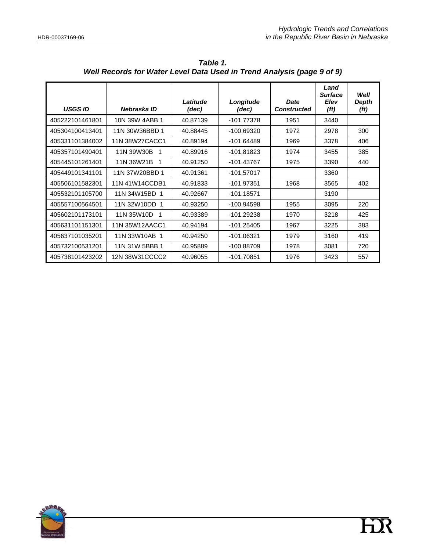| <b>USGS ID</b>  | Nebraska ID       | Latitude<br>(dec) | Longitude<br><b>Date</b><br><b>Constructed</b><br>(dec) |      | Land<br><b>Surface</b><br><b>Elev</b><br>(f <sub>t</sub> ) | Well<br>Depth<br>(ft) |
|-----------------|-------------------|-------------------|---------------------------------------------------------|------|------------------------------------------------------------|-----------------------|
| 405222101461801 | 10N 39W 4ABB 1    | 40.87139          | $-101.77378$                                            | 1951 | 3440                                                       |                       |
| 405304100413401 | 11N 30W36BBD 1    | 40.88445          | -100.69320                                              | 1972 | 2978                                                       | 300                   |
| 405331101384002 | 11N 38W27CACC1    | 40.89194          | -101.64489                                              | 1969 | 3378                                                       | 406                   |
| 405357101490401 | 11N 39W30B<br>- 1 | 40.89916          | -101.81823                                              | 1974 | 3455                                                       | 385                   |
| 405445101261401 | 11N 36W21B<br>- 1 | 40.91250          | $-101.43767$                                            | 1975 | 3390                                                       | 440                   |
| 405449101341101 | 11N 37W20BBD 1    | 40.91361          | -101.57017                                              |      | 3360                                                       |                       |
| 405506101582301 | 11N 41W14CCDB1    | 40.91833          | -101.97351                                              | 1968 | 3565                                                       | 402                   |
| 405532101105700 | 11N 34W15BD 1     | 40.92667          | $-101.18571$                                            |      | 3190                                                       |                       |
| 405557100564501 | 11N 32W10DD 1     | 40.93250          | -100.94598                                              | 1955 | 3095                                                       | 220                   |
| 405602101173101 | 11N 35W10D        | 40.93389          | -101.29238                                              | 1970 | 3218                                                       | 425                   |
| 405631101151301 | 11N 35W12AACC1    | 40.94194          | $-101.25405$                                            | 1967 | 3225                                                       | 383                   |
| 405637101035201 | 11N 33W10AB 1     | 40.94250          | $-101.06321$                                            | 1979 | 3160                                                       | 419                   |
| 405732100531201 | 11N 31W 5BBB 1    | 40.95889          | -100.88709                                              | 1978 | 3081                                                       | 720                   |
| 405738101423202 | 12N 38W31CCCC2    | 40.96055          | -101.70851                                              | 1976 | 3423                                                       | 557                   |

*Table 1. Well Records for Water Level Data Used in Trend Analysis (page 9 of 9)* 

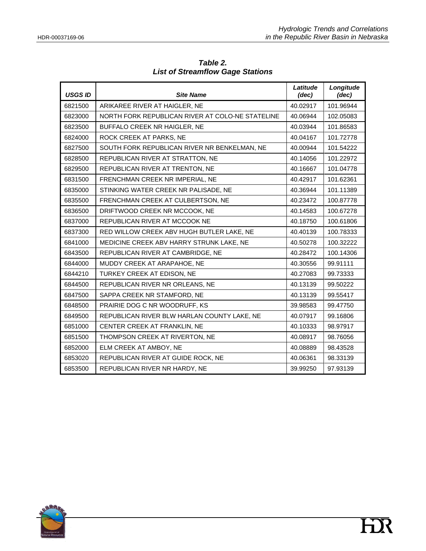| <b>USGS ID</b> | <b>Site Name</b>                                 | Latitude<br>(dec) | Longitude<br>(dec) |
|----------------|--------------------------------------------------|-------------------|--------------------|
| 6821500        | ARIKAREE RIVER AT HAIGLER, NE                    | 40.02917          | 101.96944          |
| 6823000        | NORTH FORK REPUBLICAN RIVER AT COLO-NE STATELINE | 40.06944          | 102.05083          |
| 6823500        | BUFFALO CREEK NR HAIGLER, NE                     | 40.03944          | 101.86583          |
| 6824000        | ROCK CREEK AT PARKS, NE                          | 40.04167          | 101.72778          |
| 6827500        | SOUTH FORK REPUBLICAN RIVER NR BENKELMAN, NE     | 40.00944          | 101.54222          |
| 6828500        | REPUBLICAN RIVER AT STRATTON, NE                 | 40.14056          | 101.22972          |
| 6829500        | REPUBLICAN RIVER AT TRENTON, NE                  | 40.16667          | 101.04778          |
| 6831500        | FRENCHMAN CREEK NR IMPERIAL, NE                  | 40.42917          | 101.62361          |
| 6835000        | STINKING WATER CREEK NR PALISADE, NE             | 40.36944          | 101.11389          |
| 6835500        | FRENCHMAN CREEK AT CULBERTSON, NE                | 40.23472          | 100.87778          |
| 6836500        | DRIFTWOOD CREEK NR MCCOOK, NE                    | 40.14583          | 100.67278          |
| 6837000        | REPUBLICAN RIVER AT MCCOOK NE                    | 40.18750          | 100.61806          |
| 6837300        | RED WILLOW CREEK ABV HUGH BUTLER LAKE, NE        | 40.40139          | 100.78333          |
| 6841000        | MEDICINE CREEK ABV HARRY STRUNK LAKE, NE         | 40.50278          | 100.32222          |
| 6843500        | REPUBLICAN RIVER AT CAMBRIDGE, NE                | 40.28472          | 100.14306          |
| 6844000        | MUDDY CREEK AT ARAPAHOE, NE                      | 40.30556          | 99.91111           |
| 6844210        | TURKEY CREEK AT EDISON, NE                       | 40.27083          | 99.73333           |
| 6844500        | REPUBLICAN RIVER NR ORLEANS, NE                  | 40.13139          | 99.50222           |
| 6847500        | SAPPA CREEK NR STAMFORD, NE                      | 40.13139          | 99.55417           |
| 6848500        | PRAIRIE DOG C NR WOODRUFF, KS                    | 39.98583          | 99.47750           |
| 6849500        | REPUBLICAN RIVER BLW HARLAN COUNTY LAKE, NE      | 40.07917          | 99.16806           |
| 6851000        | CENTER CREEK AT FRANKLIN, NE                     | 40.10333          | 98.97917           |
| 6851500        | THOMPSON CREEK AT RIVERTON, NE                   | 40.08917          | 98.76056           |
| 6852000        | ELM CREEK AT AMBOY, NE                           | 40.08889          | 98.43528           |
| 6853020        | REPUBLICAN RIVER AT GUIDE ROCK, NE               | 40.06361          | 98.33139           |
| 6853500        | REPUBLICAN RIVER NR HARDY, NE                    | 39.99250          | 97.93139           |

*Table 2. List of Streamflow Gage Stations* 

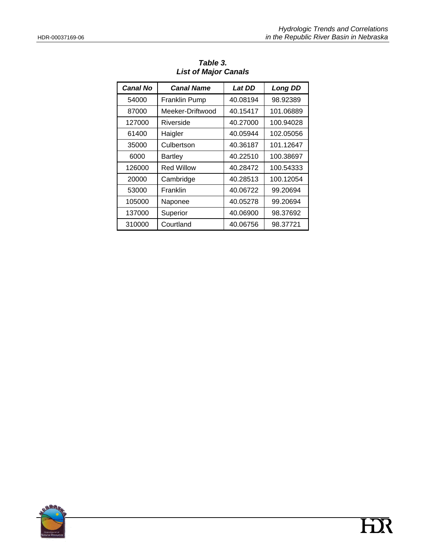| <b>Canal No</b> | <b>Canal Name</b>    | <b>Lat DD</b> | <b>Long DD</b> |
|-----------------|----------------------|---------------|----------------|
| 54000           | <b>Franklin Pump</b> | 40.08194      | 98.92389       |
| 87000           | Meeker-Driftwood     | 40.15417      | 101.06889      |
| 127000          | Riverside            | 40.27000      | 100.94028      |
| 61400           | Haigler              | 40.05944      | 102.05056      |
| 35000           | Culbertson           | 40.36187      | 101.12647      |
| 6000            | <b>Bartley</b>       | 40.22510      | 100.38697      |
| 126000          | <b>Red Willow</b>    | 40.28472      | 100.54333      |
| 20000           | Cambridge            | 40.28513      | 100.12054      |
| 53000           | Franklin             | 40.06722      | 99.20694       |
| 105000          | Naponee              | 40.05278      | 99.20694       |
| 137000          | Superior             | 40.06900      | 98.37692       |
| 310000          | Courtland            | 40.06756      | 98.37721       |

*Table 3. List of Major Canals* 

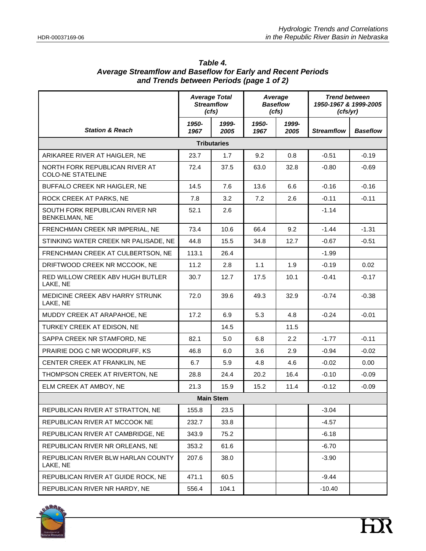|                                                            | <b>Average Total</b><br><b>Streamflow</b><br>(cfs) |                    | Average<br><b>Baseflow</b><br>(cfs) |               | <b>Trend between</b><br>1950-1967 & 1999-2005<br>(cfs/yr) |                 |
|------------------------------------------------------------|----------------------------------------------------|--------------------|-------------------------------------|---------------|-----------------------------------------------------------|-----------------|
| <b>Station &amp; Reach</b>                                 | 1950-<br>1967                                      | 1999-<br>2005      | 1950-<br>1967                       | 1999-<br>2005 | <b>Streamflow</b>                                         | <b>Baseflow</b> |
|                                                            |                                                    | <b>Tributaries</b> |                                     |               |                                                           |                 |
| ARIKAREE RIVER AT HAIGLER, NE                              | 23.7                                               | 1.7                | 9.2                                 | 0.8           | $-0.51$                                                   | $-0.19$         |
| NORTH FORK REPUBLICAN RIVER AT<br><b>COLO-NE STATELINE</b> | 72.4                                               | 37.5               | 63.0                                | 32.8          | $-0.80$                                                   | $-0.69$         |
| BUFFALO CREEK NR HAIGLER, NE                               | 14.5                                               | 7.6                | 13.6                                | 6.6           | $-0.16$                                                   | $-0.16$         |
| ROCK CREEK AT PARKS, NE                                    | 7.8                                                | 3.2                | 7.2                                 | 2.6           | $-0.11$                                                   | $-0.11$         |
| SOUTH FORK REPUBLICAN RIVER NR<br><b>BENKELMAN, NE</b>     | 52.1                                               | 2.6                |                                     |               | $-1.14$                                                   |                 |
| FRENCHMAN CREEK NR IMPERIAL, NE                            | 73.4                                               | 10.6               | 66.4                                | 9.2           | $-1.44$                                                   | $-1.31$         |
| STINKING WATER CREEK NR PALISADE. NE                       | 44.8                                               | 15.5               | 34.8                                | 12.7          | $-0.67$                                                   | $-0.51$         |
| FRENCHMAN CREEK AT CULBERTSON, NE                          | 113.1                                              | 26.4               |                                     |               | $-1.99$                                                   |                 |
| DRIFTWOOD CREEK NR MCCOOK, NE                              | 11.2                                               | 2.8                | 1.1                                 | 1.9           | $-0.19$                                                   | 0.02            |
| RED WILLOW CREEK ABV HUGH BUTLER<br>LAKE, NE               | 30.7                                               | 12.7               | 17.5                                | 10.1          | $-0.41$                                                   | $-0.17$         |
| MEDICINE CREEK ABV HARRY STRUNK<br>LAKE, NE                | 72.0                                               | 39.6               | 49.3                                | 32.9          | $-0.74$                                                   | $-0.38$         |
| MUDDY CREEK AT ARAPAHOE, NE                                | 17.2                                               | 6.9                | 5.3                                 | 4.8           | $-0.24$                                                   | $-0.01$         |
| TURKEY CREEK AT EDISON, NE                                 |                                                    | 14.5               |                                     | 11.5          |                                                           |                 |
| SAPPA CREEK NR STAMFORD, NE                                | 82.1                                               | 5.0                | 6.8                                 | 2.2           | $-1.77$                                                   | $-0.11$         |
| PRAIRIE DOG C NR WOODRUFF, KS                              | 46.8                                               | 6.0                | 3.6                                 | 2.9           | $-0.94$                                                   | $-0.02$         |
| CENTER CREEK AT FRANKLIN, NE                               | 6.7                                                | 5.9                | 4.8                                 | 4.6           | $-0.02$                                                   | 0.00            |
| THOMPSON CREEK AT RIVERTON, NE                             | 28.8                                               | 24.4               | 20.2                                | 16.4          | $-0.10$                                                   | -0.09           |
| ELM CREEK AT AMBOY, NE                                     | 21.3                                               | 15.9               | 15.2                                | 11.4          | $-0.12$                                                   | $-0.09$         |
|                                                            |                                                    | <b>Main Stem</b>   |                                     |               |                                                           |                 |
| REPUBLICAN RIVER AT STRATTON, NE                           | 155.8                                              | 23.5               |                                     |               | $-3.04$                                                   |                 |
| REPUBLICAN RIVER AT MCCOOK NE                              | 232.7                                              | 33.8               |                                     |               | $-4.57$                                                   |                 |
| REPUBLICAN RIVER AT CAMBRIDGE, NE                          | 343.9                                              | 75.2               |                                     |               | $-6.18$                                                   |                 |
| REPUBLICAN RIVER NR ORLEANS, NE                            | 353.2                                              | 61.6               |                                     |               | $-6.70$                                                   |                 |
| REPUBLICAN RIVER BLW HARLAN COUNTY<br>LAKE, NE             | 207.6                                              | 38.0               |                                     |               | $-3.90$                                                   |                 |
| REPUBLICAN RIVER AT GUIDE ROCK, NE                         | 471.1                                              | 60.5               |                                     |               | $-9.44$                                                   |                 |
| REPUBLICAN RIVER NR HARDY, NE                              | 556.4                                              | 104.1              |                                     |               | $-10.40$                                                  |                 |

#### *Table 4. Average Streamflow and Baseflow for Early and Recent Periods and Trends between Periods (page 1 of 2)*